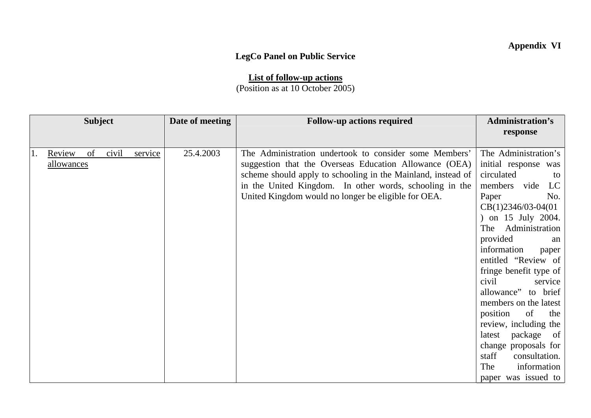## **Appendix VI**

## **LegCo Panel on Public Service**

**List of follow-up actions** (Position as at 10 October 2005)

|    |                             | <b>Subject</b> |       |         | Date of meeting | <b>Follow-up actions required</b>                                                                                                                                                                                                                                                                  | <b>Administration's</b>                                                                                                                                                                                                                                                                                                                                                                                                                                                |
|----|-----------------------------|----------------|-------|---------|-----------------|----------------------------------------------------------------------------------------------------------------------------------------------------------------------------------------------------------------------------------------------------------------------------------------------------|------------------------------------------------------------------------------------------------------------------------------------------------------------------------------------------------------------------------------------------------------------------------------------------------------------------------------------------------------------------------------------------------------------------------------------------------------------------------|
|    |                             |                |       |         |                 |                                                                                                                                                                                                                                                                                                    | response                                                                                                                                                                                                                                                                                                                                                                                                                                                               |
|    |                             |                |       |         |                 |                                                                                                                                                                                                                                                                                                    |                                                                                                                                                                                                                                                                                                                                                                                                                                                                        |
| 1. | Review<br><u>allowances</u> | of             | civil | service | 25.4.2003       | The Administration undertook to consider some Members'<br>suggestion that the Overseas Education Allowance (OEA)<br>scheme should apply to schooling in the Mainland, instead of<br>in the United Kingdom. In other words, schooling in the<br>United Kingdom would no longer be eligible for OEA. | The Administration's<br>initial response was<br>circulated<br>to<br>members vide<br>LC<br>Paper<br>No.<br>$CB(1)2346/03-04(01)$<br>) on 15 July 2004.<br>Administration<br>The<br>provided<br>an<br>information<br>paper<br>entitled "Review of<br>fringe benefit type of<br>civil<br>service<br>allowance" to brief<br>members on the latest<br>position<br>of<br>the<br>review, including the<br>latest package of<br>change proposals for<br>staff<br>consultation. |
|    |                             |                |       |         |                 |                                                                                                                                                                                                                                                                                                    | information<br>The                                                                                                                                                                                                                                                                                                                                                                                                                                                     |
|    |                             |                |       |         |                 |                                                                                                                                                                                                                                                                                                    | paper was issued to                                                                                                                                                                                                                                                                                                                                                                                                                                                    |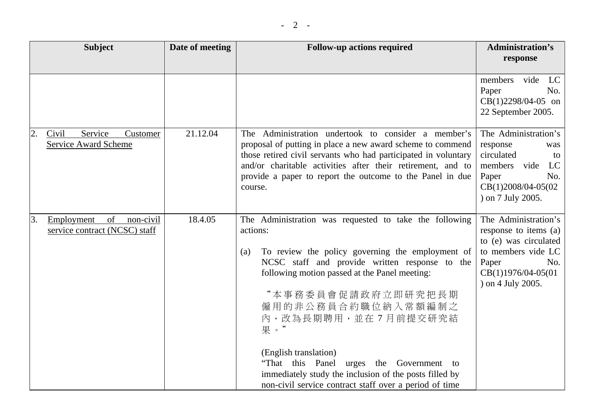|    | <b>Subject</b>                                                 | Date of meeting | <b>Follow-up actions required</b>                                                                                                                                                                                                                                                                                                                                                                                                                                                                   | <b>Administration's</b><br>response                                                                                                                     |
|----|----------------------------------------------------------------|-----------------|-----------------------------------------------------------------------------------------------------------------------------------------------------------------------------------------------------------------------------------------------------------------------------------------------------------------------------------------------------------------------------------------------------------------------------------------------------------------------------------------------------|---------------------------------------------------------------------------------------------------------------------------------------------------------|
|    |                                                                |                 |                                                                                                                                                                                                                                                                                                                                                                                                                                                                                                     | vide<br>members<br>LC<br>No.<br>Paper<br>$CB(1)2298/04-05$ on<br>22 September 2005.                                                                     |
| 2. | Service<br>Civil<br>Customer<br><b>Service Award Scheme</b>    | 21.12.04        | The Administration undertook to consider a member's<br>proposal of putting in place a new award scheme to commend<br>those retired civil servants who had participated in voluntary<br>and/or charitable activities after their retirement, and to<br>provide a paper to report the outcome to the Panel in due<br>course.                                                                                                                                                                          | The Administration's<br>response<br>was<br>circulated<br>to<br>members vide<br>LC<br>Paper<br>No.<br>CB(1)2008/04-05(02<br>) on 7 July 2005.            |
| 3. | Employment<br>of<br>non-civil<br>service contract (NCSC) staff | 18.4.05         | The Administration was requested to take the following<br>actions:<br>To review the policy governing the employment of<br>(a)<br>NCSC staff and provide written response to the<br>following motion passed at the Panel meeting:<br>"本事務委員會促請政府立即研究把長期<br>僱用的非公務員合約職位納入常額編制之<br>內,改為長期聘用,並在7月前提交研究結<br>果。"<br>(English translation)<br>"That this Panel urges the Government to<br>immediately study the inclusion of the posts filled by<br>non-civil service contract staff over a period of time | The Administration's<br>response to items (a)<br>to (e) was circulated<br>to members vide LC<br>Paper<br>No.<br>CB(1)1976/04-05(01<br>) on 4 July 2005. |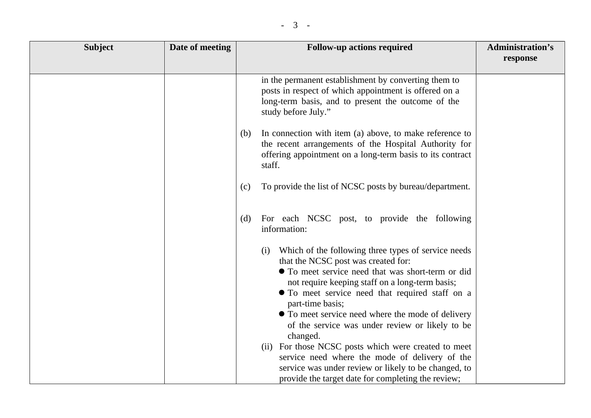| <b>Subject</b> | Date of meeting | <b>Follow-up actions required</b>                                                                                                                                                                                                                                                                                                                                                                                                                            | <b>Administration's</b><br>response |
|----------------|-----------------|--------------------------------------------------------------------------------------------------------------------------------------------------------------------------------------------------------------------------------------------------------------------------------------------------------------------------------------------------------------------------------------------------------------------------------------------------------------|-------------------------------------|
|                |                 | in the permanent establishment by converting them to<br>posts in respect of which appointment is offered on a<br>long-term basis, and to present the outcome of the<br>study before July."                                                                                                                                                                                                                                                                   |                                     |
|                |                 | In connection with item (a) above, to make reference to<br>(b)<br>the recent arrangements of the Hospital Authority for<br>offering appointment on a long-term basis to its contract<br>staff.                                                                                                                                                                                                                                                               |                                     |
|                |                 | To provide the list of NCSC posts by bureau/department.<br>(c)                                                                                                                                                                                                                                                                                                                                                                                               |                                     |
|                |                 | For each NCSC post, to provide the following<br>(d)<br>information:                                                                                                                                                                                                                                                                                                                                                                                          |                                     |
|                |                 | Which of the following three types of service needs<br>(i)<br>that the NCSC post was created for:<br>• To meet service need that was short-term or did<br>not require keeping staff on a long-term basis;<br>• To meet service need that required staff on a<br>part-time basis;<br>• To meet service need where the mode of delivery<br>of the service was under review or likely to be<br>changed.<br>(ii) For those NCSC posts which were created to meet |                                     |
|                |                 | service need where the mode of delivery of the<br>service was under review or likely to be changed, to<br>provide the target date for completing the review;                                                                                                                                                                                                                                                                                                 |                                     |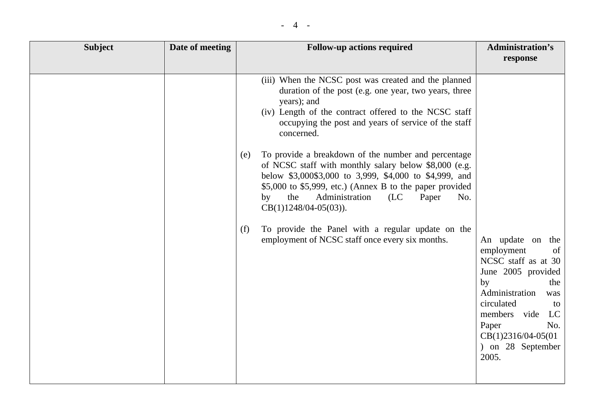| <b>Subject</b> | Date of meeting | <b>Follow-up actions required</b>                                                                                                                                                                                                                                                                                                                                                                                                                                                                                                                                                                                                                                                                         | <b>Administration's</b><br>response                                                                                                                                                                                                      |
|----------------|-----------------|-----------------------------------------------------------------------------------------------------------------------------------------------------------------------------------------------------------------------------------------------------------------------------------------------------------------------------------------------------------------------------------------------------------------------------------------------------------------------------------------------------------------------------------------------------------------------------------------------------------------------------------------------------------------------------------------------------------|------------------------------------------------------------------------------------------------------------------------------------------------------------------------------------------------------------------------------------------|
|                |                 | (iii) When the NCSC post was created and the planned<br>duration of the post (e.g. one year, two years, three<br>years); and<br>(iv) Length of the contract offered to the NCSC staff<br>occupying the post and years of service of the staff<br>concerned.<br>To provide a breakdown of the number and percentage<br>(e)<br>of NCSC staff with monthly salary below \$8,000 (e.g.<br>below \$3,000\$3,000 to 3,999, \$4,000 to \$4,999, and<br>\$5,000 to \$5,999, etc.) (Annex B to the paper provided<br>Administration<br>the<br>(LC)<br>Paper<br>No.<br>by<br>$CB(1)1248/04-05(03)).$<br>To provide the Panel with a regular update on the<br>(f)<br>employment of NCSC staff once every six months. | An update on the<br>employment<br>of<br>NCSC staff as at 30<br>June 2005 provided<br>by<br>the<br>Administration<br>was<br>circulated<br>to<br>LC<br>members vide<br>Paper<br>No.<br>$CB(1)2316/04-05(01)$<br>) on 28 September<br>2005. |